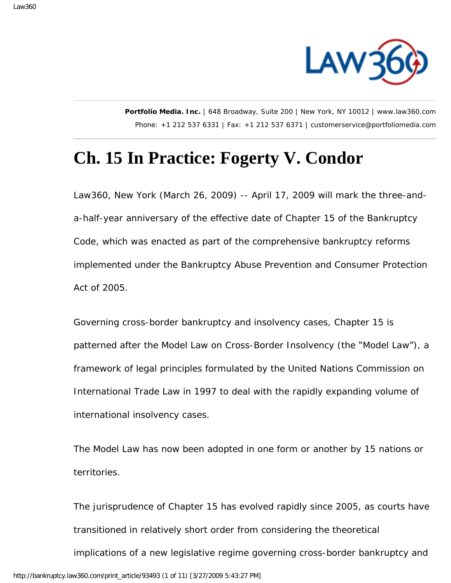

**Portfolio Media. Inc.** | 648 Broadway, Suite 200 | New York, NY 10012 | www.law360.com Phone: +1 212 537 6331 | Fax: +1 212 537 6371 | customerservice@portfoliomedia.com

## **Ch. 15 In Practice: Fogerty V. Condor**

Law360, New York (March 26, 2009) -- April 17, 2009 will mark the three-anda-half-year anniversary of the effective date of Chapter 15 of the Bankruptcy Code, which was enacted as part of the comprehensive bankruptcy reforms implemented under the Bankruptcy Abuse Prevention and Consumer Protection Act of 2005.

Governing cross-border bankruptcy and insolvency cases, Chapter 15 is patterned after the Model Law on Cross-Border Insolvency (the "Model Law"), a framework of legal principles formulated by the United Nations Commission on International Trade Law in 1997 to deal with the rapidly expanding volume of international insolvency cases.

The Model Law has now been adopted in one form or another by 15 nations or territories.

The jurisprudence of Chapter 15 has evolved rapidly since 2005, as courts have transitioned in relatively short order from considering the theoretical implications of a new legislative regime governing cross-border bankruptcy and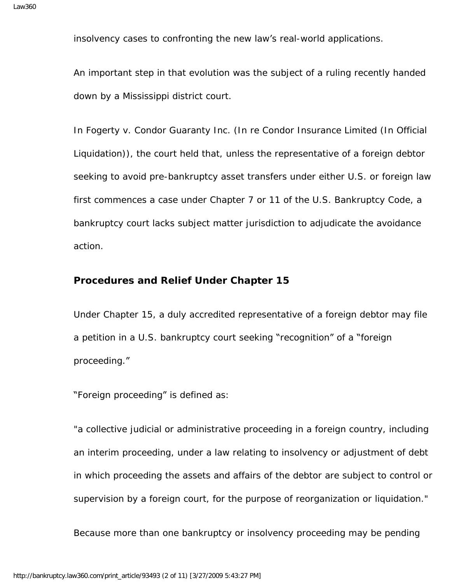insolvency cases to confronting the new law's real-world applications.

An important step in that evolution was the subject of a ruling recently handed down by a Mississippi district court.

In Fogerty v. Condor Guaranty Inc. (In re Condor Insurance Limited (In Official Liquidation)), the court held that, unless the representative of a foreign debtor seeking to avoid pre-bankruptcy asset transfers under either U.S. or foreign law first commences a case under Chapter 7 or 11 of the U.S. Bankruptcy Code, a bankruptcy court lacks subject matter jurisdiction to adjudicate the avoidance action.

## **Procedures and Relief Under Chapter 15**

Under Chapter 15, a duly accredited representative of a foreign debtor may file a petition in a U.S. bankruptcy court seeking "recognition" of a "foreign proceeding."

"Foreign proceeding" is defined as:

"a collective judicial or administrative proceeding in a foreign country, including an interim proceeding, under a law relating to insolvency or adjustment of debt in which proceeding the assets and affairs of the debtor are subject to control or supervision by a foreign court, for the purpose of reorganization or liquidation."

Because more than one bankruptcy or insolvency proceeding may be pending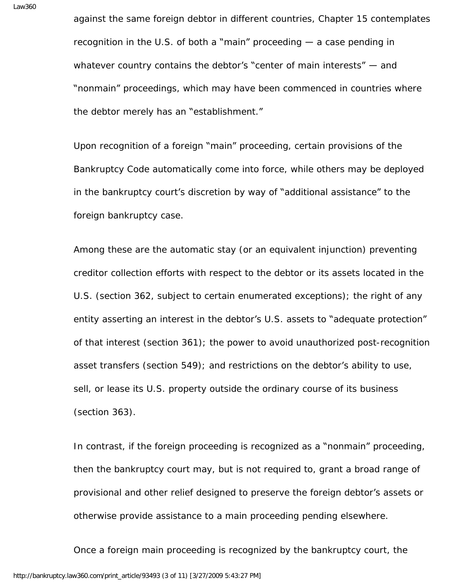against the same foreign debtor in different countries, Chapter 15 contemplates recognition in the U.S. of both a "main" proceeding  $-$  a case pending in whatever country contains the debtor's "center of main interests" – and "nonmain" proceedings, which may have been commenced in countries where the debtor merely has an "establishment."

Upon recognition of a foreign "main" proceeding, certain provisions of the Bankruptcy Code automatically come into force, while others may be deployed in the bankruptcy court's discretion by way of "additional assistance" to the foreign bankruptcy case.

Among these are the automatic stay (or an equivalent injunction) preventing creditor collection efforts with respect to the debtor or its assets located in the U.S. (section 362, subject to certain enumerated exceptions); the right of any entity asserting an interest in the debtor's U.S. assets to "adequate protection" of that interest (section 361); the power to avoid unauthorized post-recognition asset transfers (section 549); and restrictions on the debtor's ability to use, sell, or lease its U.S. property outside the ordinary course of its business (section 363).

In contrast, if the foreign proceeding is recognized as a "nonmain" proceeding, then the bankruptcy court may, but is not required to, grant a broad range of provisional and other relief designed to preserve the foreign debtor's assets or otherwise provide assistance to a main proceeding pending elsewhere.

Once a foreign main proceeding is recognized by the bankruptcy court, the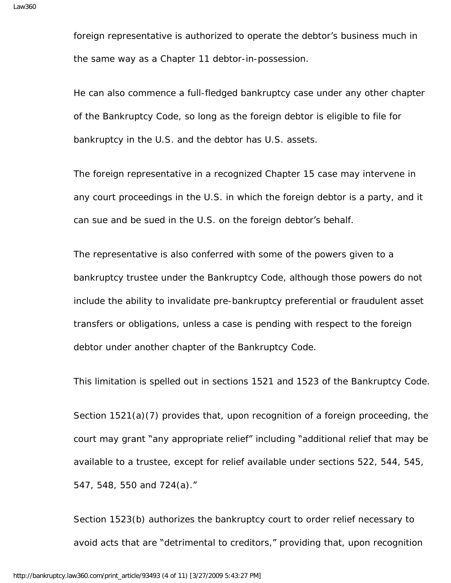foreign representative is authorized to operate the debtor's business much in the same way as a Chapter 11 debtor-in-possession.

He can also commence a full-fledged bankruptcy case under any other chapter of the Bankruptcy Code, so long as the foreign debtor is eligible to file for bankruptcy in the U.S. and the debtor has U.S. assets.

The foreign representative in a recognized Chapter 15 case may intervene in any court proceedings in the U.S. in which the foreign debtor is a party, and it can sue and be sued in the U.S. on the foreign debtor's behalf.

The representative is also conferred with some of the powers given to a bankruptcy trustee under the Bankruptcy Code, although those powers do not include the ability to invalidate pre-bankruptcy preferential or fraudulent asset transfers or obligations, unless a case is pending with respect to the foreign debtor under another chapter of the Bankruptcy Code.

This limitation is spelled out in sections 1521 and 1523 of the Bankruptcy Code.

Section 1521(a)(7) provides that, upon recognition of a foreign proceeding, the court may grant "any appropriate relief" including "additional relief that may be available to a trustee, except for relief available under sections 522, 544, 545, 547, 548, 550 and 724(a)."

Section 1523(b) authorizes the bankruptcy court to order relief necessary to avoid acts that are "detrimental to creditors," providing that, upon recognition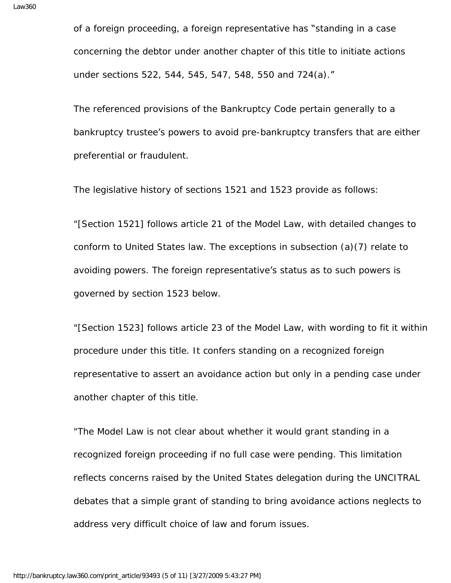of a foreign proceeding, a foreign representative has "standing in a case concerning the debtor under another chapter of this title to initiate actions under sections 522, 544, 545, 547, 548, 550 and 724(a)."

The referenced provisions of the Bankruptcy Code pertain generally to a bankruptcy trustee's powers to avoid pre-bankruptcy transfers that are either preferential or fraudulent.

The legislative history of sections 1521 and 1523 provide as follows:

"[Section 1521] follows article 21 of the Model Law, with detailed changes to conform to United States law. The exceptions in subsection (a)(7) relate to avoiding powers. The foreign representative's status as to such powers is governed by section 1523 below.

"[Section 1523] follows article 23 of the Model Law, with wording to fit it within procedure under this title. It confers standing on a recognized foreign representative to assert an avoidance action but only in a pending case under another chapter of this title.

"The Model Law is not clear about whether it would grant standing in a recognized foreign proceeding if no full case were pending. This limitation reflects concerns raised by the United States delegation during the UNCITRAL debates that a simple grant of standing to bring avoidance actions neglects to address very difficult choice of law and forum issues.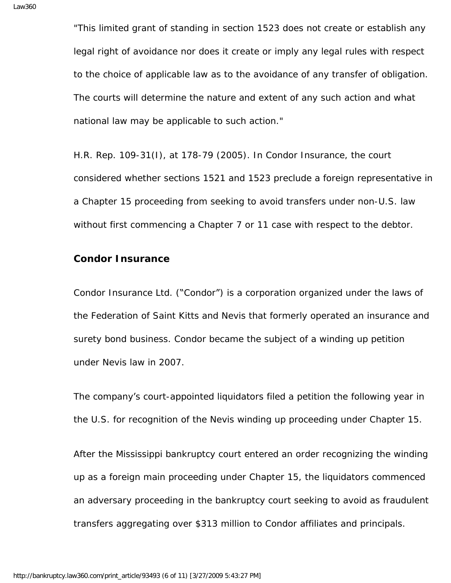"This limited grant of standing in section 1523 does not create or establish any legal right of avoidance nor does it create or imply any legal rules with respect to the choice of applicable law as to the avoidance of any transfer of obligation. The courts will determine the nature and extent of any such action and what national law may be applicable to such action."

H.R. Rep. 109-31(I), at 178-79 (2005). In Condor Insurance, the court considered whether sections 1521 and 1523 preclude a foreign representative in a Chapter 15 proceeding from seeking to avoid transfers under non-U.S. law without first commencing a Chapter 7 or 11 case with respect to the debtor.

## **Condor Insurance**

Condor Insurance Ltd. ("Condor") is a corporation organized under the laws of the Federation of Saint Kitts and Nevis that formerly operated an insurance and surety bond business. Condor became the subject of a winding up petition under Nevis law in 2007.

The company's court-appointed liquidators filed a petition the following year in the U.S. for recognition of the Nevis winding up proceeding under Chapter 15.

After the Mississippi bankruptcy court entered an order recognizing the winding up as a foreign main proceeding under Chapter 15, the liquidators commenced an adversary proceeding in the bankruptcy court seeking to avoid as fraudulent transfers aggregating over \$313 million to Condor affiliates and principals.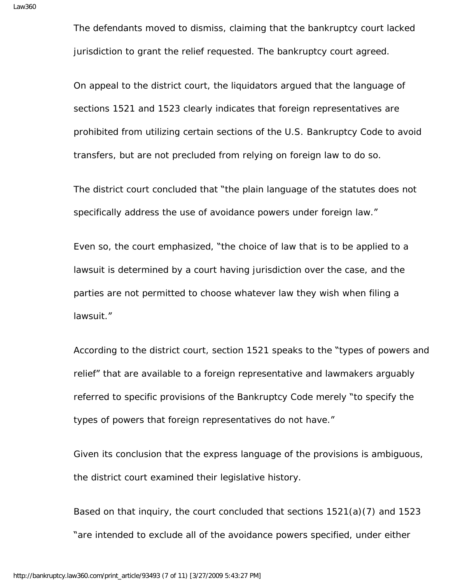The defendants moved to dismiss, claiming that the bankruptcy court lacked jurisdiction to grant the relief requested. The bankruptcy court agreed.

On appeal to the district court, the liquidators argued that the language of sections 1521 and 1523 clearly indicates that foreign representatives are prohibited from utilizing certain sections of the U.S. Bankruptcy Code to avoid transfers, but are not precluded from relying on foreign law to do so.

The district court concluded that "the plain language of the statutes does not specifically address the use of avoidance powers under foreign law."

Even so, the court emphasized, "the choice of law that is to be applied to a lawsuit is determined by a court having jurisdiction over the case, and the parties are not permitted to choose whatever law they wish when filing a lawsuit."

According to the district court, section 1521 speaks to the "types of powers and relief" that are available to a foreign representative and lawmakers arguably referred to specific provisions of the Bankruptcy Code merely "to specify the types of powers that foreign representatives do not have."

Given its conclusion that the express language of the provisions is ambiguous, the district court examined their legislative history.

Based on that inquiry, the court concluded that sections 1521(a)(7) and 1523 "are intended to exclude all of the avoidance powers specified, under either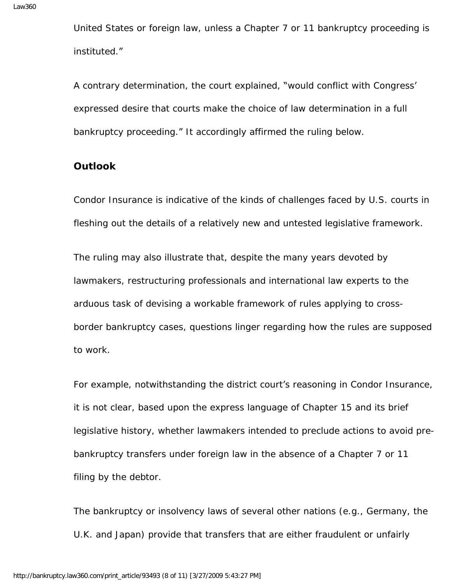United States or foreign law, unless a Chapter 7 or 11 bankruptcy proceeding is instituted."

A contrary determination, the court explained, "would conflict with Congress' expressed desire that courts make the choice of law determination in a full bankruptcy proceeding." It accordingly affirmed the ruling below.

## **Outlook**

Condor Insurance is indicative of the kinds of challenges faced by U.S. courts in fleshing out the details of a relatively new and untested legislative framework.

The ruling may also illustrate that, despite the many years devoted by lawmakers, restructuring professionals and international law experts to the arduous task of devising a workable framework of rules applying to crossborder bankruptcy cases, questions linger regarding how the rules are supposed to work.

For example, notwithstanding the district court's reasoning in Condor Insurance, it is not clear, based upon the express language of Chapter 15 and its brief legislative history, whether lawmakers intended to preclude actions to avoid prebankruptcy transfers under foreign law in the absence of a Chapter 7 or 11 filing by the debtor.

The bankruptcy or insolvency laws of several other nations (e.g., Germany, the U.K. and Japan) provide that transfers that are either fraudulent or unfairly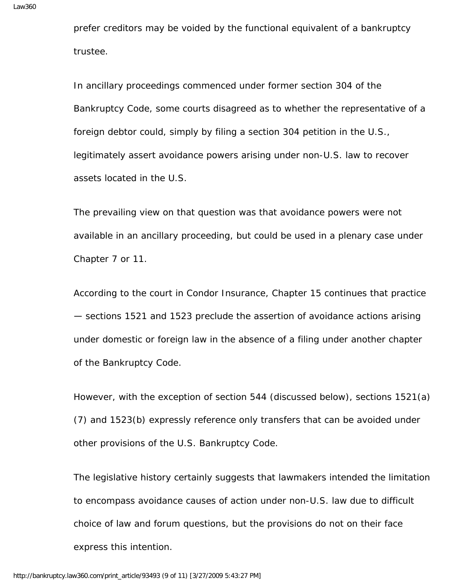prefer creditors may be voided by the functional equivalent of a bankruptcy trustee.

In ancillary proceedings commenced under former section 304 of the Bankruptcy Code, some courts disagreed as to whether the representative of a foreign debtor could, simply by filing a section 304 petition in the U.S., legitimately assert avoidance powers arising under non-U.S. law to recover assets located in the U.S.

The prevailing view on that question was that avoidance powers were not available in an ancillary proceeding, but could be used in a plenary case under Chapter 7 or 11.

According to the court in Condor Insurance, Chapter 15 continues that practice — sections 1521 and 1523 preclude the assertion of avoidance actions arising under domestic or foreign law in the absence of a filing under another chapter of the Bankruptcy Code.

However, with the exception of section 544 (discussed below), sections 1521(a) (7) and 1523(b) expressly reference only transfers that can be avoided under other provisions of the U.S. Bankruptcy Code.

The legislative history certainly suggests that lawmakers intended the limitation to encompass avoidance causes of action under non-U.S. law due to difficult choice of law and forum questions, but the provisions do not on their face express this intention.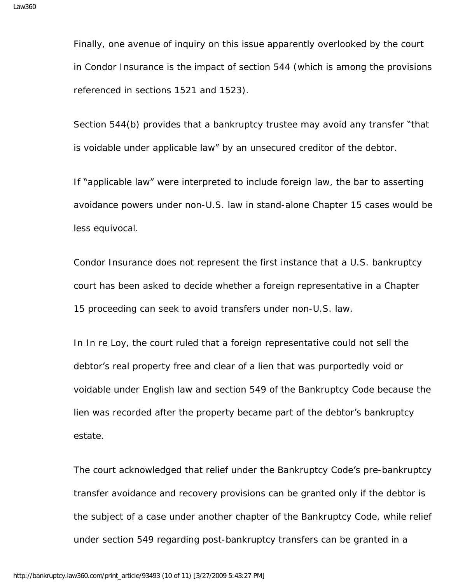Finally, one avenue of inquiry on this issue apparently overlooked by the court in Condor Insurance is the impact of section 544 (which is among the provisions referenced in sections 1521 and 1523).

Section 544(b) provides that a bankruptcy trustee may avoid any transfer "that is voidable under applicable law" by an unsecured creditor of the debtor.

If "applicable law" were interpreted to include foreign law, the bar to asserting avoidance powers under non-U.S. law in stand-alone Chapter 15 cases would be less equivocal.

Condor Insurance does not represent the first instance that a U.S. bankruptcy court has been asked to decide whether a foreign representative in a Chapter 15 proceeding can seek to avoid transfers under non-U.S. law.

In In re Loy, the court ruled that a foreign representative could not sell the debtor's real property free and clear of a lien that was purportedly void or voidable under English law and section 549 of the Bankruptcy Code because the lien was recorded after the property became part of the debtor's bankruptcy estate.

The court acknowledged that relief under the Bankruptcy Code's pre-bankruptcy transfer avoidance and recovery provisions can be granted only if the debtor is the subject of a case under another chapter of the Bankruptcy Code, while relief under section 549 regarding post-bankruptcy transfers can be granted in a